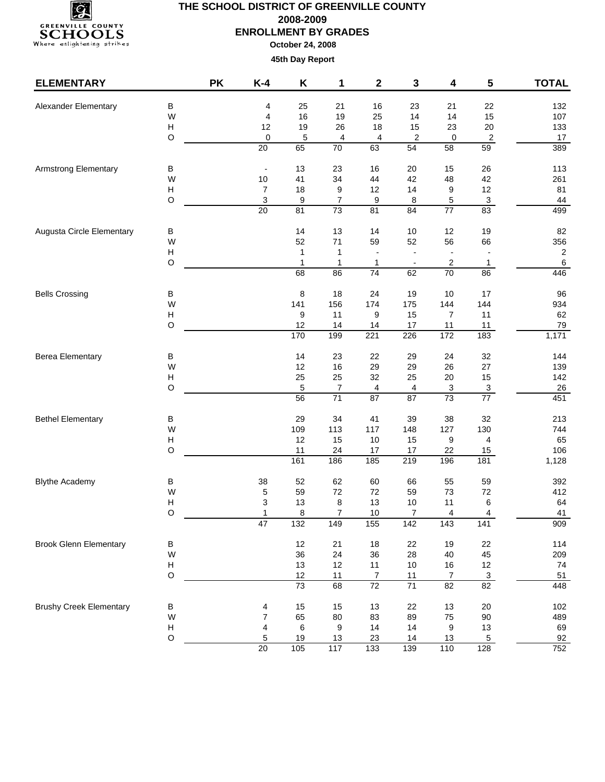

| <b>ELEMENTARY</b>              |                           | <b>PK</b> | $K-4$                    | Κ        | 1                     | $\mathbf 2$                       | 3                       | 4                                   | 5                         | <b>TOTAL</b>     |
|--------------------------------|---------------------------|-----------|--------------------------|----------|-----------------------|-----------------------------------|-------------------------|-------------------------------------|---------------------------|------------------|
| Alexander Elementary           | $\sf B$                   |           | 4                        | 25       | 21                    | 16                                | 23                      | 21                                  | 22                        | 132              |
|                                | W                         |           | 4                        | 16       | 19                    | 25                                | 14                      | 14                                  | 15                        | 107              |
|                                | Н                         |           | 12                       | 19       | 26                    | 18                                | 15                      | 23                                  | $20\,$                    | 133              |
|                                | $\circ$                   |           | 0                        | 5        | 4                     | 4                                 | $\overline{\mathbf{c}}$ | 0                                   | $\overline{2}$            | 17               |
|                                |                           |           | 20                       | 65       | $\overline{70}$       | 63                                | 54                      | 58                                  | 59                        | 389              |
| <b>Armstrong Elementary</b>    | B                         |           | $\overline{\phantom{0}}$ | 13       | 23                    | 16                                | 20                      | 15                                  | 26                        | 113              |
|                                | W                         |           | $10$                     | 41       | 34                    | 44                                | 42                      | 48                                  | 42                        | 261              |
|                                | $\boldsymbol{\mathsf{H}}$ |           | 7                        | 18       | 9                     | 12                                | 14                      | 9                                   | 12                        | 81               |
|                                | O                         |           | 3                        | 9        | $\boldsymbol{7}$      | 9                                 | 8                       | 5                                   | $\ensuremath{\mathsf{3}}$ | 44               |
|                                |                           |           | $\overline{20}$          | 81       | 73                    | 81                                | 84                      | $\overline{77}$                     | 83                        | 499              |
| Augusta Circle Elementary      | B                         |           |                          | 14       | 13                    | 14                                | 10                      | 12                                  | 19                        | 82               |
|                                | W                         |           |                          | 52       | 71                    | 59                                | 52                      | 56                                  | 66                        | 356              |
|                                | Н                         |           |                          | 1        | $\mathbf{1}$          |                                   | $\blacksquare$          |                                     |                           | $\sqrt{2}$       |
|                                | $\mathsf O$               |           |                          | 1        | 1                     | 1                                 | $\blacksquare$          | 2                                   | 1                         | $\sqrt{6}$       |
|                                |                           |           |                          | 68       | 86                    | $\overline{74}$                   | 62                      | $\overline{70}$                     | 86                        | 446              |
| <b>Bells Crossing</b>          | $\sf B$                   |           |                          | 8        | 18                    | 24                                | 19                      | 10                                  | 17                        | 96               |
|                                | W                         |           |                          | 141      | 156                   | 174                               | 175                     | 144                                 | 144                       | 934              |
|                                | Н                         |           |                          | 9        | 11                    | 9                                 | 15                      | 7                                   | 11                        | 62               |
|                                | $\circ$                   |           |                          | 12       | 14                    | 14                                | $17$                    | 11                                  | 11                        | 79               |
|                                |                           |           |                          | 170      | 199                   | 221                               | 226                     | $\frac{1}{172}$                     | 183                       | 1,171            |
| <b>Berea Elementary</b>        | B                         |           |                          | 14       | 23                    | 22                                | 29                      | 24                                  | 32                        | 144              |
|                                | W                         |           |                          | 12       | 16                    | 29                                | 29                      | 26                                  | 27                        | 139              |
|                                | $\boldsymbol{\mathsf{H}}$ |           |                          | 25       | 25                    | 32                                | 25                      | $20\,$                              | 15                        | 142              |
|                                | $\circ$                   |           |                          | 5        | 7                     | 4                                 | 4                       | 3                                   | $\frac{3}{77}$            | $\frac{26}{451}$ |
|                                |                           |           |                          | 56       | $\overline{71}$       | 87                                | $\overline{87}$         | 73                                  |                           |                  |
| <b>Bethel Elementary</b>       | B                         |           |                          | 29       | 34                    | 41                                | 39                      | 38                                  | 32                        | 213              |
|                                | W                         |           |                          | 109      | 113                   | 117                               | 148                     | 127                                 | 130                       | 744              |
|                                | $\boldsymbol{\mathsf{H}}$ |           |                          | 12       | 15                    | 10                                | 15                      | 9                                   | 4                         | 65               |
|                                | $\circ$                   |           |                          | 11       | 24                    | 17                                | 17                      | 22                                  | 15                        | 106              |
|                                |                           |           |                          | 161      | 186                   | 185                               | 219                     | 196                                 | 181                       | 1,128            |
| <b>Blythe Academy</b>          | B                         |           | 38                       | 52       | 62                    | 60                                | 66                      | 55                                  | 59                        | 392              |
|                                | W                         |           | 5                        | 59       | $72\,$                | 72                                | 59                      | 73                                  | 72                        | 412              |
|                                | $\boldsymbol{\mathsf{H}}$ |           | 3                        | 13       | 8                     | 13                                | 10                      | 11                                  | 6                         | 64               |
|                                | O                         |           | 1<br>47                  | 8<br>132 | $\overline{7}$<br>149 | 10<br>155                         | 7<br>142                | 4<br>143                            | 4<br>141                  | 41<br>909        |
|                                |                           |           |                          |          |                       |                                   |                         |                                     |                           |                  |
| <b>Brook Glenn Elementary</b>  | B                         |           |                          | 12       | 21                    | 18                                | $22\,$                  | 19                                  | 22                        | 114              |
|                                | W                         |           |                          | 36       | 24                    | 36                                | 28                      | 40                                  | 45                        | 209              |
|                                | H<br>$\circ$              |           |                          | 13       | 12                    | 11                                | $10$                    | 16                                  | 12                        | 74               |
|                                |                           |           |                          | 12<br>73 | 11<br>68              | $\overline{7}$<br>$\overline{72}$ | 11<br>$\overline{71}$   | $\boldsymbol{7}$<br>$\overline{82}$ | $\overline{3}$<br>82      | 51<br>448        |
|                                |                           |           |                          |          |                       |                                   |                         |                                     |                           |                  |
| <b>Brushy Creek Elementary</b> | В<br>W                    |           | 4<br>$\overline{7}$      | 15<br>65 | 15<br>80              | 13<br>83                          | 22<br>89                | 13<br>75                            | $20\,$<br>$90\,$          | 102<br>489       |
|                                | Н                         |           | 4                        | 6        | 9                     | 14                                | 14                      | 9                                   | $13$                      | 69               |
|                                | $\circ$                   |           | $\mathbf 5$              | 19       | 13                    | 23                                | 14                      | 13                                  | $\overline{5}$            | 92               |
|                                |                           |           | 20                       | 105      | $\frac{117}{117}$     | 133                               | 139                     | 110                                 | 128                       | 752              |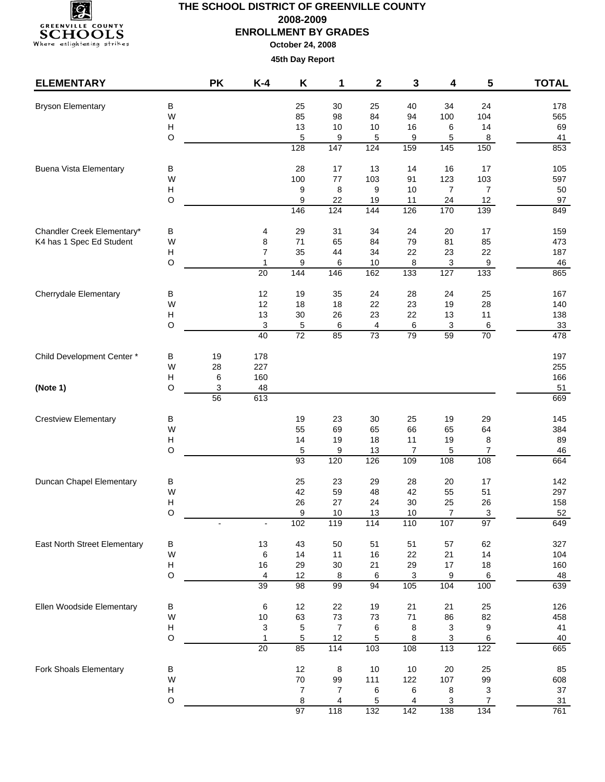

| <b>ELEMENTARY</b>             |                                | <b>PK</b> | $K-4$                        | Κ                | 1                   | 2                | 3                     | 4                     | 5                     | <b>TOTAL</b> |
|-------------------------------|--------------------------------|-----------|------------------------------|------------------|---------------------|------------------|-----------------------|-----------------------|-----------------------|--------------|
| <b>Bryson Elementary</b>      | B                              |           |                              | 25               | 30                  | 25               | 40                    | 34                    | 24                    | 178          |
|                               | W                              |           |                              | 85               | 98                  | 84               | 94                    | 100                   | 104                   | 565          |
|                               | Н                              |           |                              | 13               | $10$                | $10$             | 16                    | 6                     | 14                    | 69           |
|                               | O                              |           |                              | 5                | 9                   | 5                | 9                     | 5                     | 8                     | 41           |
|                               |                                |           |                              | 128              | 147                 | $\frac{1}{24}$   | 159                   | $\frac{1}{145}$       | 150                   | 853          |
| <b>Buena Vista Elementary</b> | В                              |           |                              | 28               | 17                  | 13               | 14                    | 16                    | 17                    | 105          |
|                               | W<br>$\boldsymbol{\mathsf{H}}$ |           |                              | 100<br>9         | 77<br>8             | 103<br>9         | 91<br>$10$            | 123<br>$\overline{7}$ | 103<br>$\overline{7}$ | 597<br>50    |
|                               | O                              |           |                              | 9                | 22                  | 19               | 11                    | 24                    | 12                    | 97           |
|                               |                                |           |                              | 146              | 124                 | 144              | 126                   | 170                   | 139                   | 849          |
| Chandler Creek Elementary*    | В                              |           | 4                            | 29               | 31                  | 34               | 24                    | 20                    | 17                    | 159          |
| K4 has 1 Spec Ed Student      | W                              |           | 8                            | 71               | 65                  | 84               | 79                    | 81                    | 85                    | 473          |
|                               | н                              |           | $\overline{7}$               | 35               | 44                  | 34               | 22                    | 23                    | 22                    | 187          |
|                               | $\circ$                        |           | 1<br>20                      | 9<br>144         | 6<br>146            | 10<br>162        | 8<br>133              | 3<br>127              | 9<br>133              | 46<br>865    |
|                               |                                |           |                              |                  |                     |                  |                       |                       |                       |              |
| <b>Cherrydale Elementary</b>  | В                              |           | 12                           | 19               | 35                  | 24               | 28                    | 24                    | 25                    | 167          |
|                               | W                              |           | 12                           | 18               | 18                  | 22               | 23                    | 19                    | 28                    | 140          |
|                               | H                              |           | 13                           | 30               | 26                  | 23               | 22                    | 13                    | 11                    | 138          |
|                               | O                              |           | $\sqrt{3}$<br>40             | 5<br>72          | 6<br>85             | 4<br>73          | 6<br>79               | 3<br>59               | $\,6\,$<br>70         | 33<br>478    |
|                               |                                |           |                              |                  |                     |                  |                       |                       |                       |              |
| Child Development Center*     | В<br>W                         | 19<br>28  | 178<br>227                   |                  |                     |                  |                       |                       |                       | 197<br>255   |
|                               | H                              | 6         | 160                          |                  |                     |                  |                       |                       |                       | 166          |
| (Note 1)                      | O                              | 3         | 48                           |                  |                     |                  |                       |                       |                       | 51           |
|                               |                                | 56        | 613                          |                  |                     |                  |                       |                       |                       | 669          |
| <b>Crestview Elementary</b>   | В                              |           |                              | 19               | 23                  | 30               | 25                    | 19                    | 29                    | 145          |
|                               | W                              |           |                              | 55               | 69                  | 65               | 66                    | 65                    | 64                    | 384          |
|                               | H                              |           |                              | 14               | 19                  | 18               | 11                    | 19                    | 8                     | 89           |
|                               | $\circ$                        |           |                              | $\sqrt{5}$<br>93 | 9<br>120            | 13<br>126        | $\overline{7}$<br>109 | 5<br>108              | $\overline{7}$<br>108 | 46<br>664    |
|                               |                                |           |                              |                  |                     |                  |                       |                       |                       |              |
| Duncan Chapel Elementary      | В                              |           |                              | 25               | 23                  | 29               | 28                    | 20                    | 17                    | 142          |
|                               | W                              |           |                              | 42               | 59                  | 48               | 42                    | 55                    | 51                    | 297          |
|                               | H                              |           |                              | 26               | 27                  | 24               | 30                    | 25                    | 26                    | 158          |
|                               | $\circ$                        |           | $\qquad \qquad \blacksquare$ | 9<br>102         | $10$<br>119         | 13<br>114        | 10<br>110             | $\overline{7}$<br>107 | $\mathbf{3}$<br>97    | 52<br>649    |
|                               |                                |           |                              |                  |                     |                  |                       |                       |                       |              |
| East North Street Elementary  | $\sf B$<br>W                   |           | 13<br>6                      | 43<br>14         | 50<br>11            | 51<br>16         | 51<br>22              | 57<br>21              | 62<br>14              | 327<br>104   |
|                               | H                              |           | 16                           | 29               | $30\,$              | 21               | 29                    | 17                    | 18                    | 160          |
|                               | $\circ$                        |           | 4                            | 12               | $\overline{8}$      | 6                | 3                     | $\overline{9}$        | $6\phantom{.}6$       | 48           |
|                               |                                |           | 39                           | 98               | 99                  | 94               | 105                   | 104                   | 100                   | 639          |
| Ellen Woodside Elementary     | B                              |           | 6                            | 12               | 22                  | 19               | 21                    | 21                    | 25                    | 126          |
|                               | W                              |           | $10$                         | 63               | $73\,$              | $73\,$           | $71$                  | 86                    | 82                    | 458          |
|                               | $\boldsymbol{\mathsf{H}}$      |           | 3                            | 5                | $\boldsymbol{7}$    | 6                | 8                     | 3                     | 9                     | 41           |
|                               | $\circ$                        |           | $\mathbf{1}$                 | 5                | 12                  | 5                | 8                     | 3                     | 6                     | $40\,$       |
|                               |                                |           | $\overline{20}$              | 85               | $\frac{1}{114}$     | $\frac{103}{2}$  | 108                   | $\overline{113}$      | 122                   | 665          |
| Fork Shoals Elementary        | $\sf B$                        |           |                              | 12               | $\,8\,$             | $10$             | $10$                  | 20                    | 25                    | 85           |
|                               | W                              |           |                              | 70               | 99                  | 111              | 122                   | 107                   | 99                    | 608          |
|                               | Н<br>O                         |           |                              | 7<br>8           | $\overline{7}$<br>4 | 6<br>5           | 6<br>4                | 8                     | 3<br>$\overline{7}$   | 37<br>31     |
|                               |                                |           |                              | 97               | 118                 | $\overline{132}$ | $\frac{1}{142}$       | 3<br>138              | $\overline{134}$      | 761          |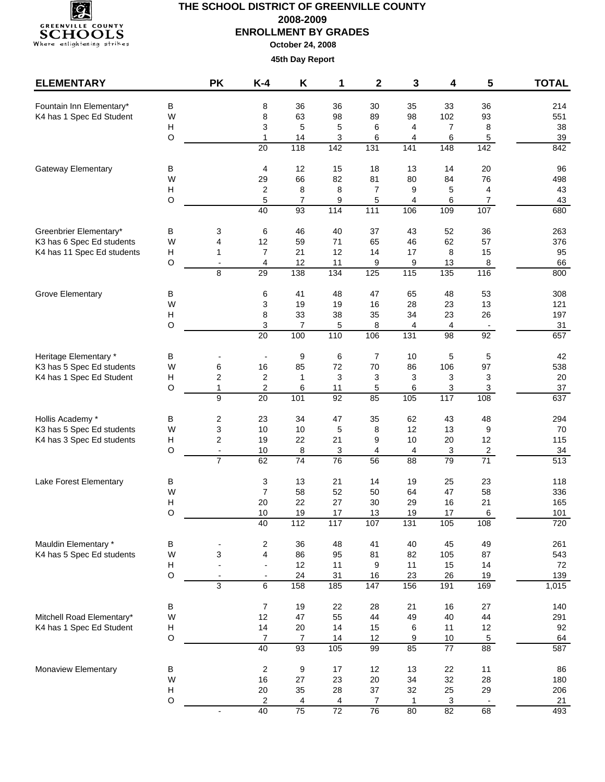

| В<br>35<br>Fountain Inn Elementary*<br>8<br>36<br>36<br>30<br>33<br>36<br>214<br>W<br>8<br>63<br>98<br>102<br>93<br>K4 has 1 Spec Ed Student<br>98<br>89<br>551<br>Н<br>5<br>5<br>$\overline{7}$<br>8<br>3<br>6<br>4<br>38<br>$\circ$<br>14<br>$\sqrt{5}$<br>1<br>3<br>6<br>39<br>6<br>4<br>142<br>$\overline{20}$<br>118<br>$\overline{131}$<br>141<br>148<br>$\overline{142}$<br>842<br>Gateway Elementary<br>В<br>4<br>12<br>15<br>18<br>13<br>14<br>20<br>96<br>W<br>29<br>66<br>82<br>81<br>80<br>84<br>76<br>498<br>Н<br>8<br>4<br>2<br>8<br>$\overline{7}$<br>9<br>5<br>43<br>5<br>$\overline{7}$<br>O<br>9<br>5<br>4<br>6<br>$\overline{7}$<br>43<br>114<br>109<br>107<br>40<br>$\overline{93}$<br>$\frac{111}{111}$<br>106<br>680<br>Greenbrier Elementary*<br>3<br>6<br>46<br>40<br>37<br>43<br>52<br>36<br>B<br>263<br>W<br>4<br>12<br>59<br>$71$<br>65<br>46<br>62<br>57<br>K3 has 6 Spec Ed students<br>376<br>K4 has 11 Spec Ed students<br>Н<br>$\overline{7}$<br>21<br>12<br>14<br>$17$<br>15<br>95<br>8<br>1<br>$\circ$<br>12<br>4<br>11<br>9<br>9<br>13<br>8<br>66<br>$\overline{\phantom{a}}$<br>$\overline{29}$<br>$\frac{1}{38}$<br>$\frac{115}{115}$<br>$\frac{135}{135}$<br>8<br>134<br>125<br>116<br>800<br>$\sf B$<br>6<br>41<br>48<br>47<br>65<br>48<br>53<br>Grove Elementary<br>308<br>W<br>3<br>19<br>19<br>16<br>23<br>13<br>28<br>121<br>H<br>8<br>33<br>38<br>35<br>34<br>23<br>26<br>197<br>$\circ$<br>3<br>$\overline{7}$<br>5<br>8<br>4<br>4<br>31<br>$\blacksquare$<br>$\frac{110}{110}$<br>20<br>100<br>106<br>131<br>98<br>92<br>657<br>Heritage Elementary *<br>9<br>6<br>10<br>5<br>5<br>42<br>В<br>7<br>$\overline{a}$<br>85<br>97<br>K3 has 5 Spec Ed students<br>W<br>6<br>16<br>72<br>70<br>86<br>106<br>538<br>$\mathbf{3}$<br>H<br>2<br>$\overline{\mathbf{c}}$<br>$\mathbf{1}$<br>3<br>3<br>3<br>K4 has 1 Spec Ed Student<br>3<br>20<br>O<br>2<br>6<br>$\mathbf{1}$<br>11<br>5<br>6<br>3<br>$\mathbf{3}$<br>37<br>$\overline{9}$<br>92<br>101<br>85<br>$\frac{105}{105}$<br>$\frac{1}{117}$<br>637<br>20<br>108<br>$\overline{\mathbf{c}}$<br>23<br>Hollis Academy *<br>B<br>34<br>47<br>35<br>62<br>43<br>48<br>294<br>K3 has 5 Spec Ed students<br>W<br>3<br>10<br>10<br>5<br>12<br>13<br>9<br>70<br>8<br>Н<br>2<br>22<br>21<br>10<br>20<br>12<br>115<br>K4 has 3 Spec Ed students<br>19<br>9<br>$\circ$<br>10<br>8<br>3<br>4<br>4<br>3<br>$\overline{\mathbf{c}}$<br>34<br>$\overline{\phantom{a}}$<br>$\overline{71}$<br>513<br>$\overline{74}$<br>76<br>$\overline{7}$<br>62<br>$\overline{88}$<br>79<br>56<br>3<br>25<br>23<br>Lake Forest Elementary<br>13<br>21<br>14<br>19<br>118<br>В<br>W<br>58<br>52<br>47<br>58<br>7<br>50<br>64<br>336<br>Н<br>22<br>27<br>21<br>20<br>30<br>29<br>16<br>165<br>$\circ$<br>6<br>101<br>10<br>19<br>17<br>13<br>19<br>17<br>40<br>112<br>117<br>107<br>131<br>105<br>108<br>720<br>Mauldin Elementary *<br>$\overline{\mathbf{c}}$<br>40<br>45<br>49<br>В<br>36<br>48<br>41<br>261<br>۰<br>$\overline{\mathbf{4}}$<br>K4 has 5 Spec Ed students<br>W<br>3<br>86<br>95<br>87<br>543<br>81<br>82<br>105<br>H<br>12<br>9<br>14<br>72<br>11<br>11<br>15<br>$\overline{\phantom{a}}$<br>$\circ$<br>24<br>31<br>23<br>26<br>19<br>139<br>16<br>$\blacksquare$<br>$\overline{\phantom{a}}$<br>3<br>6<br>158<br>1,015<br>185<br>147<br>156<br>191<br>169<br>$\boldsymbol{7}$<br>19<br>28<br>21<br>140<br>В<br>22<br>16<br>27<br>Mitchell Road Elementary*<br>W<br>12<br>47<br>55<br>44<br>49<br>40<br>44<br>291<br>14<br>20<br>14<br>12<br>K4 has 1 Spec Ed Student<br>H<br>15<br>6<br>11<br>92<br>$\hbox{O}$<br>$\overline{7}$<br>9<br>$5\phantom{.0}$<br>64<br>$\overline{7}$<br>14<br>12<br>$10$<br>40<br>$\overline{93}$<br>105<br>85<br>$\overline{77}$<br>$\overline{88}$<br>587<br>99<br>Monaview Elementary<br>$\overline{\mathbf{c}}$<br>9<br>$17$<br>12<br>13<br>22<br>11<br>В<br>86<br>W<br>16<br>27<br>23<br>20<br>34<br>32<br>28<br>180<br>H<br>20<br>35<br>28<br>37<br>25<br>29<br>206<br>32<br>O<br>$\overline{\mathbf{c}}$<br>3<br>21<br>4<br>4<br>$\overline{7}$<br>1<br>$\blacksquare$<br>40<br>$\overline{75}$<br>$\overline{72}$<br>$\overline{76}$<br>$\overline{82}$<br>68<br>80<br>493 | <b>ELEMENTARY</b> | <b>PK</b> | $K-4$ | Κ | 1 | $\mathbf 2$ | 3 | 4 | 5 | <b>TOTAL</b> |
|---------------------------------------------------------------------------------------------------------------------------------------------------------------------------------------------------------------------------------------------------------------------------------------------------------------------------------------------------------------------------------------------------------------------------------------------------------------------------------------------------------------------------------------------------------------------------------------------------------------------------------------------------------------------------------------------------------------------------------------------------------------------------------------------------------------------------------------------------------------------------------------------------------------------------------------------------------------------------------------------------------------------------------------------------------------------------------------------------------------------------------------------------------------------------------------------------------------------------------------------------------------------------------------------------------------------------------------------------------------------------------------------------------------------------------------------------------------------------------------------------------------------------------------------------------------------------------------------------------------------------------------------------------------------------------------------------------------------------------------------------------------------------------------------------------------------------------------------------------------------------------------------------------------------------------------------------------------------------------------------------------------------------------------------------------------------------------------------------------------------------------------------------------------------------------------------------------------------------------------------------------------------------------------------------------------------------------------------------------------------------------------------------------------------------------------------------------------------------------------------------------------------------------------------------------------------------------------------------------------------------------------------------------------------------------------------------------------------------------------------------------------------------------------------------------------------------------------------------------------------------------------------------------------------------------------------------------------------------------------------------------------------------------------------------------------------------------------------------------------------------------------------------------------------------------------------------------------------------------------------------------------------------------------------------------------------------------------------------------------------------------------------------------------------------------------------------------------------------------------------------------------------------------------------------------------------------------------------------------------------------------------------------------------------------------------------------------------------------------------------------------------------------------------------------------------------------------------------------------------------------------------------------------------------------------------------------------------------------------------------------------------------------------------------------------------------------------------------------------------------------------------------------------------------------------------------------|-------------------|-----------|-------|---|---|-------------|---|---|---|--------------|
|                                                                                                                                                                                                                                                                                                                                                                                                                                                                                                                                                                                                                                                                                                                                                                                                                                                                                                                                                                                                                                                                                                                                                                                                                                                                                                                                                                                                                                                                                                                                                                                                                                                                                                                                                                                                                                                                                                                                                                                                                                                                                                                                                                                                                                                                                                                                                                                                                                                                                                                                                                                                                                                                                                                                                                                                                                                                                                                                                                                                                                                                                                                                                                                                                                                                                                                                                                                                                                                                                                                                                                                                                                                                                                                                                                                                                                                                                                                                                                                                                                                                                                                                                                                                   |                   |           |       |   |   |             |   |   |   |              |
|                                                                                                                                                                                                                                                                                                                                                                                                                                                                                                                                                                                                                                                                                                                                                                                                                                                                                                                                                                                                                                                                                                                                                                                                                                                                                                                                                                                                                                                                                                                                                                                                                                                                                                                                                                                                                                                                                                                                                                                                                                                                                                                                                                                                                                                                                                                                                                                                                                                                                                                                                                                                                                                                                                                                                                                                                                                                                                                                                                                                                                                                                                                                                                                                                                                                                                                                                                                                                                                                                                                                                                                                                                                                                                                                                                                                                                                                                                                                                                                                                                                                                                                                                                                                   |                   |           |       |   |   |             |   |   |   |              |
|                                                                                                                                                                                                                                                                                                                                                                                                                                                                                                                                                                                                                                                                                                                                                                                                                                                                                                                                                                                                                                                                                                                                                                                                                                                                                                                                                                                                                                                                                                                                                                                                                                                                                                                                                                                                                                                                                                                                                                                                                                                                                                                                                                                                                                                                                                                                                                                                                                                                                                                                                                                                                                                                                                                                                                                                                                                                                                                                                                                                                                                                                                                                                                                                                                                                                                                                                                                                                                                                                                                                                                                                                                                                                                                                                                                                                                                                                                                                                                                                                                                                                                                                                                                                   |                   |           |       |   |   |             |   |   |   |              |
|                                                                                                                                                                                                                                                                                                                                                                                                                                                                                                                                                                                                                                                                                                                                                                                                                                                                                                                                                                                                                                                                                                                                                                                                                                                                                                                                                                                                                                                                                                                                                                                                                                                                                                                                                                                                                                                                                                                                                                                                                                                                                                                                                                                                                                                                                                                                                                                                                                                                                                                                                                                                                                                                                                                                                                                                                                                                                                                                                                                                                                                                                                                                                                                                                                                                                                                                                                                                                                                                                                                                                                                                                                                                                                                                                                                                                                                                                                                                                                                                                                                                                                                                                                                                   |                   |           |       |   |   |             |   |   |   |              |
|                                                                                                                                                                                                                                                                                                                                                                                                                                                                                                                                                                                                                                                                                                                                                                                                                                                                                                                                                                                                                                                                                                                                                                                                                                                                                                                                                                                                                                                                                                                                                                                                                                                                                                                                                                                                                                                                                                                                                                                                                                                                                                                                                                                                                                                                                                                                                                                                                                                                                                                                                                                                                                                                                                                                                                                                                                                                                                                                                                                                                                                                                                                                                                                                                                                                                                                                                                                                                                                                                                                                                                                                                                                                                                                                                                                                                                                                                                                                                                                                                                                                                                                                                                                                   |                   |           |       |   |   |             |   |   |   |              |
|                                                                                                                                                                                                                                                                                                                                                                                                                                                                                                                                                                                                                                                                                                                                                                                                                                                                                                                                                                                                                                                                                                                                                                                                                                                                                                                                                                                                                                                                                                                                                                                                                                                                                                                                                                                                                                                                                                                                                                                                                                                                                                                                                                                                                                                                                                                                                                                                                                                                                                                                                                                                                                                                                                                                                                                                                                                                                                                                                                                                                                                                                                                                                                                                                                                                                                                                                                                                                                                                                                                                                                                                                                                                                                                                                                                                                                                                                                                                                                                                                                                                                                                                                                                                   |                   |           |       |   |   |             |   |   |   |              |
|                                                                                                                                                                                                                                                                                                                                                                                                                                                                                                                                                                                                                                                                                                                                                                                                                                                                                                                                                                                                                                                                                                                                                                                                                                                                                                                                                                                                                                                                                                                                                                                                                                                                                                                                                                                                                                                                                                                                                                                                                                                                                                                                                                                                                                                                                                                                                                                                                                                                                                                                                                                                                                                                                                                                                                                                                                                                                                                                                                                                                                                                                                                                                                                                                                                                                                                                                                                                                                                                                                                                                                                                                                                                                                                                                                                                                                                                                                                                                                                                                                                                                                                                                                                                   |                   |           |       |   |   |             |   |   |   |              |
|                                                                                                                                                                                                                                                                                                                                                                                                                                                                                                                                                                                                                                                                                                                                                                                                                                                                                                                                                                                                                                                                                                                                                                                                                                                                                                                                                                                                                                                                                                                                                                                                                                                                                                                                                                                                                                                                                                                                                                                                                                                                                                                                                                                                                                                                                                                                                                                                                                                                                                                                                                                                                                                                                                                                                                                                                                                                                                                                                                                                                                                                                                                                                                                                                                                                                                                                                                                                                                                                                                                                                                                                                                                                                                                                                                                                                                                                                                                                                                                                                                                                                                                                                                                                   |                   |           |       |   |   |             |   |   |   |              |
|                                                                                                                                                                                                                                                                                                                                                                                                                                                                                                                                                                                                                                                                                                                                                                                                                                                                                                                                                                                                                                                                                                                                                                                                                                                                                                                                                                                                                                                                                                                                                                                                                                                                                                                                                                                                                                                                                                                                                                                                                                                                                                                                                                                                                                                                                                                                                                                                                                                                                                                                                                                                                                                                                                                                                                                                                                                                                                                                                                                                                                                                                                                                                                                                                                                                                                                                                                                                                                                                                                                                                                                                                                                                                                                                                                                                                                                                                                                                                                                                                                                                                                                                                                                                   |                   |           |       |   |   |             |   |   |   |              |
|                                                                                                                                                                                                                                                                                                                                                                                                                                                                                                                                                                                                                                                                                                                                                                                                                                                                                                                                                                                                                                                                                                                                                                                                                                                                                                                                                                                                                                                                                                                                                                                                                                                                                                                                                                                                                                                                                                                                                                                                                                                                                                                                                                                                                                                                                                                                                                                                                                                                                                                                                                                                                                                                                                                                                                                                                                                                                                                                                                                                                                                                                                                                                                                                                                                                                                                                                                                                                                                                                                                                                                                                                                                                                                                                                                                                                                                                                                                                                                                                                                                                                                                                                                                                   |                   |           |       |   |   |             |   |   |   |              |
|                                                                                                                                                                                                                                                                                                                                                                                                                                                                                                                                                                                                                                                                                                                                                                                                                                                                                                                                                                                                                                                                                                                                                                                                                                                                                                                                                                                                                                                                                                                                                                                                                                                                                                                                                                                                                                                                                                                                                                                                                                                                                                                                                                                                                                                                                                                                                                                                                                                                                                                                                                                                                                                                                                                                                                                                                                                                                                                                                                                                                                                                                                                                                                                                                                                                                                                                                                                                                                                                                                                                                                                                                                                                                                                                                                                                                                                                                                                                                                                                                                                                                                                                                                                                   |                   |           |       |   |   |             |   |   |   |              |
|                                                                                                                                                                                                                                                                                                                                                                                                                                                                                                                                                                                                                                                                                                                                                                                                                                                                                                                                                                                                                                                                                                                                                                                                                                                                                                                                                                                                                                                                                                                                                                                                                                                                                                                                                                                                                                                                                                                                                                                                                                                                                                                                                                                                                                                                                                                                                                                                                                                                                                                                                                                                                                                                                                                                                                                                                                                                                                                                                                                                                                                                                                                                                                                                                                                                                                                                                                                                                                                                                                                                                                                                                                                                                                                                                                                                                                                                                                                                                                                                                                                                                                                                                                                                   |                   |           |       |   |   |             |   |   |   |              |
|                                                                                                                                                                                                                                                                                                                                                                                                                                                                                                                                                                                                                                                                                                                                                                                                                                                                                                                                                                                                                                                                                                                                                                                                                                                                                                                                                                                                                                                                                                                                                                                                                                                                                                                                                                                                                                                                                                                                                                                                                                                                                                                                                                                                                                                                                                                                                                                                                                                                                                                                                                                                                                                                                                                                                                                                                                                                                                                                                                                                                                                                                                                                                                                                                                                                                                                                                                                                                                                                                                                                                                                                                                                                                                                                                                                                                                                                                                                                                                                                                                                                                                                                                                                                   |                   |           |       |   |   |             |   |   |   |              |
|                                                                                                                                                                                                                                                                                                                                                                                                                                                                                                                                                                                                                                                                                                                                                                                                                                                                                                                                                                                                                                                                                                                                                                                                                                                                                                                                                                                                                                                                                                                                                                                                                                                                                                                                                                                                                                                                                                                                                                                                                                                                                                                                                                                                                                                                                                                                                                                                                                                                                                                                                                                                                                                                                                                                                                                                                                                                                                                                                                                                                                                                                                                                                                                                                                                                                                                                                                                                                                                                                                                                                                                                                                                                                                                                                                                                                                                                                                                                                                                                                                                                                                                                                                                                   |                   |           |       |   |   |             |   |   |   |              |
|                                                                                                                                                                                                                                                                                                                                                                                                                                                                                                                                                                                                                                                                                                                                                                                                                                                                                                                                                                                                                                                                                                                                                                                                                                                                                                                                                                                                                                                                                                                                                                                                                                                                                                                                                                                                                                                                                                                                                                                                                                                                                                                                                                                                                                                                                                                                                                                                                                                                                                                                                                                                                                                                                                                                                                                                                                                                                                                                                                                                                                                                                                                                                                                                                                                                                                                                                                                                                                                                                                                                                                                                                                                                                                                                                                                                                                                                                                                                                                                                                                                                                                                                                                                                   |                   |           |       |   |   |             |   |   |   |              |
|                                                                                                                                                                                                                                                                                                                                                                                                                                                                                                                                                                                                                                                                                                                                                                                                                                                                                                                                                                                                                                                                                                                                                                                                                                                                                                                                                                                                                                                                                                                                                                                                                                                                                                                                                                                                                                                                                                                                                                                                                                                                                                                                                                                                                                                                                                                                                                                                                                                                                                                                                                                                                                                                                                                                                                                                                                                                                                                                                                                                                                                                                                                                                                                                                                                                                                                                                                                                                                                                                                                                                                                                                                                                                                                                                                                                                                                                                                                                                                                                                                                                                                                                                                                                   |                   |           |       |   |   |             |   |   |   |              |
|                                                                                                                                                                                                                                                                                                                                                                                                                                                                                                                                                                                                                                                                                                                                                                                                                                                                                                                                                                                                                                                                                                                                                                                                                                                                                                                                                                                                                                                                                                                                                                                                                                                                                                                                                                                                                                                                                                                                                                                                                                                                                                                                                                                                                                                                                                                                                                                                                                                                                                                                                                                                                                                                                                                                                                                                                                                                                                                                                                                                                                                                                                                                                                                                                                                                                                                                                                                                                                                                                                                                                                                                                                                                                                                                                                                                                                                                                                                                                                                                                                                                                                                                                                                                   |                   |           |       |   |   |             |   |   |   |              |
|                                                                                                                                                                                                                                                                                                                                                                                                                                                                                                                                                                                                                                                                                                                                                                                                                                                                                                                                                                                                                                                                                                                                                                                                                                                                                                                                                                                                                                                                                                                                                                                                                                                                                                                                                                                                                                                                                                                                                                                                                                                                                                                                                                                                                                                                                                                                                                                                                                                                                                                                                                                                                                                                                                                                                                                                                                                                                                                                                                                                                                                                                                                                                                                                                                                                                                                                                                                                                                                                                                                                                                                                                                                                                                                                                                                                                                                                                                                                                                                                                                                                                                                                                                                                   |                   |           |       |   |   |             |   |   |   |              |
|                                                                                                                                                                                                                                                                                                                                                                                                                                                                                                                                                                                                                                                                                                                                                                                                                                                                                                                                                                                                                                                                                                                                                                                                                                                                                                                                                                                                                                                                                                                                                                                                                                                                                                                                                                                                                                                                                                                                                                                                                                                                                                                                                                                                                                                                                                                                                                                                                                                                                                                                                                                                                                                                                                                                                                                                                                                                                                                                                                                                                                                                                                                                                                                                                                                                                                                                                                                                                                                                                                                                                                                                                                                                                                                                                                                                                                                                                                                                                                                                                                                                                                                                                                                                   |                   |           |       |   |   |             |   |   |   |              |
|                                                                                                                                                                                                                                                                                                                                                                                                                                                                                                                                                                                                                                                                                                                                                                                                                                                                                                                                                                                                                                                                                                                                                                                                                                                                                                                                                                                                                                                                                                                                                                                                                                                                                                                                                                                                                                                                                                                                                                                                                                                                                                                                                                                                                                                                                                                                                                                                                                                                                                                                                                                                                                                                                                                                                                                                                                                                                                                                                                                                                                                                                                                                                                                                                                                                                                                                                                                                                                                                                                                                                                                                                                                                                                                                                                                                                                                                                                                                                                                                                                                                                                                                                                                                   |                   |           |       |   |   |             |   |   |   |              |
|                                                                                                                                                                                                                                                                                                                                                                                                                                                                                                                                                                                                                                                                                                                                                                                                                                                                                                                                                                                                                                                                                                                                                                                                                                                                                                                                                                                                                                                                                                                                                                                                                                                                                                                                                                                                                                                                                                                                                                                                                                                                                                                                                                                                                                                                                                                                                                                                                                                                                                                                                                                                                                                                                                                                                                                                                                                                                                                                                                                                                                                                                                                                                                                                                                                                                                                                                                                                                                                                                                                                                                                                                                                                                                                                                                                                                                                                                                                                                                                                                                                                                                                                                                                                   |                   |           |       |   |   |             |   |   |   |              |
|                                                                                                                                                                                                                                                                                                                                                                                                                                                                                                                                                                                                                                                                                                                                                                                                                                                                                                                                                                                                                                                                                                                                                                                                                                                                                                                                                                                                                                                                                                                                                                                                                                                                                                                                                                                                                                                                                                                                                                                                                                                                                                                                                                                                                                                                                                                                                                                                                                                                                                                                                                                                                                                                                                                                                                                                                                                                                                                                                                                                                                                                                                                                                                                                                                                                                                                                                                                                                                                                                                                                                                                                                                                                                                                                                                                                                                                                                                                                                                                                                                                                                                                                                                                                   |                   |           |       |   |   |             |   |   |   |              |
|                                                                                                                                                                                                                                                                                                                                                                                                                                                                                                                                                                                                                                                                                                                                                                                                                                                                                                                                                                                                                                                                                                                                                                                                                                                                                                                                                                                                                                                                                                                                                                                                                                                                                                                                                                                                                                                                                                                                                                                                                                                                                                                                                                                                                                                                                                                                                                                                                                                                                                                                                                                                                                                                                                                                                                                                                                                                                                                                                                                                                                                                                                                                                                                                                                                                                                                                                                                                                                                                                                                                                                                                                                                                                                                                                                                                                                                                                                                                                                                                                                                                                                                                                                                                   |                   |           |       |   |   |             |   |   |   |              |
|                                                                                                                                                                                                                                                                                                                                                                                                                                                                                                                                                                                                                                                                                                                                                                                                                                                                                                                                                                                                                                                                                                                                                                                                                                                                                                                                                                                                                                                                                                                                                                                                                                                                                                                                                                                                                                                                                                                                                                                                                                                                                                                                                                                                                                                                                                                                                                                                                                                                                                                                                                                                                                                                                                                                                                                                                                                                                                                                                                                                                                                                                                                                                                                                                                                                                                                                                                                                                                                                                                                                                                                                                                                                                                                                                                                                                                                                                                                                                                                                                                                                                                                                                                                                   |                   |           |       |   |   |             |   |   |   |              |
|                                                                                                                                                                                                                                                                                                                                                                                                                                                                                                                                                                                                                                                                                                                                                                                                                                                                                                                                                                                                                                                                                                                                                                                                                                                                                                                                                                                                                                                                                                                                                                                                                                                                                                                                                                                                                                                                                                                                                                                                                                                                                                                                                                                                                                                                                                                                                                                                                                                                                                                                                                                                                                                                                                                                                                                                                                                                                                                                                                                                                                                                                                                                                                                                                                                                                                                                                                                                                                                                                                                                                                                                                                                                                                                                                                                                                                                                                                                                                                                                                                                                                                                                                                                                   |                   |           |       |   |   |             |   |   |   |              |
|                                                                                                                                                                                                                                                                                                                                                                                                                                                                                                                                                                                                                                                                                                                                                                                                                                                                                                                                                                                                                                                                                                                                                                                                                                                                                                                                                                                                                                                                                                                                                                                                                                                                                                                                                                                                                                                                                                                                                                                                                                                                                                                                                                                                                                                                                                                                                                                                                                                                                                                                                                                                                                                                                                                                                                                                                                                                                                                                                                                                                                                                                                                                                                                                                                                                                                                                                                                                                                                                                                                                                                                                                                                                                                                                                                                                                                                                                                                                                                                                                                                                                                                                                                                                   |                   |           |       |   |   |             |   |   |   |              |
|                                                                                                                                                                                                                                                                                                                                                                                                                                                                                                                                                                                                                                                                                                                                                                                                                                                                                                                                                                                                                                                                                                                                                                                                                                                                                                                                                                                                                                                                                                                                                                                                                                                                                                                                                                                                                                                                                                                                                                                                                                                                                                                                                                                                                                                                                                                                                                                                                                                                                                                                                                                                                                                                                                                                                                                                                                                                                                                                                                                                                                                                                                                                                                                                                                                                                                                                                                                                                                                                                                                                                                                                                                                                                                                                                                                                                                                                                                                                                                                                                                                                                                                                                                                                   |                   |           |       |   |   |             |   |   |   |              |
|                                                                                                                                                                                                                                                                                                                                                                                                                                                                                                                                                                                                                                                                                                                                                                                                                                                                                                                                                                                                                                                                                                                                                                                                                                                                                                                                                                                                                                                                                                                                                                                                                                                                                                                                                                                                                                                                                                                                                                                                                                                                                                                                                                                                                                                                                                                                                                                                                                                                                                                                                                                                                                                                                                                                                                                                                                                                                                                                                                                                                                                                                                                                                                                                                                                                                                                                                                                                                                                                                                                                                                                                                                                                                                                                                                                                                                                                                                                                                                                                                                                                                                                                                                                                   |                   |           |       |   |   |             |   |   |   |              |
|                                                                                                                                                                                                                                                                                                                                                                                                                                                                                                                                                                                                                                                                                                                                                                                                                                                                                                                                                                                                                                                                                                                                                                                                                                                                                                                                                                                                                                                                                                                                                                                                                                                                                                                                                                                                                                                                                                                                                                                                                                                                                                                                                                                                                                                                                                                                                                                                                                                                                                                                                                                                                                                                                                                                                                                                                                                                                                                                                                                                                                                                                                                                                                                                                                                                                                                                                                                                                                                                                                                                                                                                                                                                                                                                                                                                                                                                                                                                                                                                                                                                                                                                                                                                   |                   |           |       |   |   |             |   |   |   |              |
|                                                                                                                                                                                                                                                                                                                                                                                                                                                                                                                                                                                                                                                                                                                                                                                                                                                                                                                                                                                                                                                                                                                                                                                                                                                                                                                                                                                                                                                                                                                                                                                                                                                                                                                                                                                                                                                                                                                                                                                                                                                                                                                                                                                                                                                                                                                                                                                                                                                                                                                                                                                                                                                                                                                                                                                                                                                                                                                                                                                                                                                                                                                                                                                                                                                                                                                                                                                                                                                                                                                                                                                                                                                                                                                                                                                                                                                                                                                                                                                                                                                                                                                                                                                                   |                   |           |       |   |   |             |   |   |   |              |
|                                                                                                                                                                                                                                                                                                                                                                                                                                                                                                                                                                                                                                                                                                                                                                                                                                                                                                                                                                                                                                                                                                                                                                                                                                                                                                                                                                                                                                                                                                                                                                                                                                                                                                                                                                                                                                                                                                                                                                                                                                                                                                                                                                                                                                                                                                                                                                                                                                                                                                                                                                                                                                                                                                                                                                                                                                                                                                                                                                                                                                                                                                                                                                                                                                                                                                                                                                                                                                                                                                                                                                                                                                                                                                                                                                                                                                                                                                                                                                                                                                                                                                                                                                                                   |                   |           |       |   |   |             |   |   |   |              |
|                                                                                                                                                                                                                                                                                                                                                                                                                                                                                                                                                                                                                                                                                                                                                                                                                                                                                                                                                                                                                                                                                                                                                                                                                                                                                                                                                                                                                                                                                                                                                                                                                                                                                                                                                                                                                                                                                                                                                                                                                                                                                                                                                                                                                                                                                                                                                                                                                                                                                                                                                                                                                                                                                                                                                                                                                                                                                                                                                                                                                                                                                                                                                                                                                                                                                                                                                                                                                                                                                                                                                                                                                                                                                                                                                                                                                                                                                                                                                                                                                                                                                                                                                                                                   |                   |           |       |   |   |             |   |   |   |              |
|                                                                                                                                                                                                                                                                                                                                                                                                                                                                                                                                                                                                                                                                                                                                                                                                                                                                                                                                                                                                                                                                                                                                                                                                                                                                                                                                                                                                                                                                                                                                                                                                                                                                                                                                                                                                                                                                                                                                                                                                                                                                                                                                                                                                                                                                                                                                                                                                                                                                                                                                                                                                                                                                                                                                                                                                                                                                                                                                                                                                                                                                                                                                                                                                                                                                                                                                                                                                                                                                                                                                                                                                                                                                                                                                                                                                                                                                                                                                                                                                                                                                                                                                                                                                   |                   |           |       |   |   |             |   |   |   |              |
|                                                                                                                                                                                                                                                                                                                                                                                                                                                                                                                                                                                                                                                                                                                                                                                                                                                                                                                                                                                                                                                                                                                                                                                                                                                                                                                                                                                                                                                                                                                                                                                                                                                                                                                                                                                                                                                                                                                                                                                                                                                                                                                                                                                                                                                                                                                                                                                                                                                                                                                                                                                                                                                                                                                                                                                                                                                                                                                                                                                                                                                                                                                                                                                                                                                                                                                                                                                                                                                                                                                                                                                                                                                                                                                                                                                                                                                                                                                                                                                                                                                                                                                                                                                                   |                   |           |       |   |   |             |   |   |   |              |
|                                                                                                                                                                                                                                                                                                                                                                                                                                                                                                                                                                                                                                                                                                                                                                                                                                                                                                                                                                                                                                                                                                                                                                                                                                                                                                                                                                                                                                                                                                                                                                                                                                                                                                                                                                                                                                                                                                                                                                                                                                                                                                                                                                                                                                                                                                                                                                                                                                                                                                                                                                                                                                                                                                                                                                                                                                                                                                                                                                                                                                                                                                                                                                                                                                                                                                                                                                                                                                                                                                                                                                                                                                                                                                                                                                                                                                                                                                                                                                                                                                                                                                                                                                                                   |                   |           |       |   |   |             |   |   |   |              |
|                                                                                                                                                                                                                                                                                                                                                                                                                                                                                                                                                                                                                                                                                                                                                                                                                                                                                                                                                                                                                                                                                                                                                                                                                                                                                                                                                                                                                                                                                                                                                                                                                                                                                                                                                                                                                                                                                                                                                                                                                                                                                                                                                                                                                                                                                                                                                                                                                                                                                                                                                                                                                                                                                                                                                                                                                                                                                                                                                                                                                                                                                                                                                                                                                                                                                                                                                                                                                                                                                                                                                                                                                                                                                                                                                                                                                                                                                                                                                                                                                                                                                                                                                                                                   |                   |           |       |   |   |             |   |   |   |              |
|                                                                                                                                                                                                                                                                                                                                                                                                                                                                                                                                                                                                                                                                                                                                                                                                                                                                                                                                                                                                                                                                                                                                                                                                                                                                                                                                                                                                                                                                                                                                                                                                                                                                                                                                                                                                                                                                                                                                                                                                                                                                                                                                                                                                                                                                                                                                                                                                                                                                                                                                                                                                                                                                                                                                                                                                                                                                                                                                                                                                                                                                                                                                                                                                                                                                                                                                                                                                                                                                                                                                                                                                                                                                                                                                                                                                                                                                                                                                                                                                                                                                                                                                                                                                   |                   |           |       |   |   |             |   |   |   |              |
|                                                                                                                                                                                                                                                                                                                                                                                                                                                                                                                                                                                                                                                                                                                                                                                                                                                                                                                                                                                                                                                                                                                                                                                                                                                                                                                                                                                                                                                                                                                                                                                                                                                                                                                                                                                                                                                                                                                                                                                                                                                                                                                                                                                                                                                                                                                                                                                                                                                                                                                                                                                                                                                                                                                                                                                                                                                                                                                                                                                                                                                                                                                                                                                                                                                                                                                                                                                                                                                                                                                                                                                                                                                                                                                                                                                                                                                                                                                                                                                                                                                                                                                                                                                                   |                   |           |       |   |   |             |   |   |   |              |
|                                                                                                                                                                                                                                                                                                                                                                                                                                                                                                                                                                                                                                                                                                                                                                                                                                                                                                                                                                                                                                                                                                                                                                                                                                                                                                                                                                                                                                                                                                                                                                                                                                                                                                                                                                                                                                                                                                                                                                                                                                                                                                                                                                                                                                                                                                                                                                                                                                                                                                                                                                                                                                                                                                                                                                                                                                                                                                                                                                                                                                                                                                                                                                                                                                                                                                                                                                                                                                                                                                                                                                                                                                                                                                                                                                                                                                                                                                                                                                                                                                                                                                                                                                                                   |                   |           |       |   |   |             |   |   |   |              |
|                                                                                                                                                                                                                                                                                                                                                                                                                                                                                                                                                                                                                                                                                                                                                                                                                                                                                                                                                                                                                                                                                                                                                                                                                                                                                                                                                                                                                                                                                                                                                                                                                                                                                                                                                                                                                                                                                                                                                                                                                                                                                                                                                                                                                                                                                                                                                                                                                                                                                                                                                                                                                                                                                                                                                                                                                                                                                                                                                                                                                                                                                                                                                                                                                                                                                                                                                                                                                                                                                                                                                                                                                                                                                                                                                                                                                                                                                                                                                                                                                                                                                                                                                                                                   |                   |           |       |   |   |             |   |   |   |              |
|                                                                                                                                                                                                                                                                                                                                                                                                                                                                                                                                                                                                                                                                                                                                                                                                                                                                                                                                                                                                                                                                                                                                                                                                                                                                                                                                                                                                                                                                                                                                                                                                                                                                                                                                                                                                                                                                                                                                                                                                                                                                                                                                                                                                                                                                                                                                                                                                                                                                                                                                                                                                                                                                                                                                                                                                                                                                                                                                                                                                                                                                                                                                                                                                                                                                                                                                                                                                                                                                                                                                                                                                                                                                                                                                                                                                                                                                                                                                                                                                                                                                                                                                                                                                   |                   |           |       |   |   |             |   |   |   |              |
|                                                                                                                                                                                                                                                                                                                                                                                                                                                                                                                                                                                                                                                                                                                                                                                                                                                                                                                                                                                                                                                                                                                                                                                                                                                                                                                                                                                                                                                                                                                                                                                                                                                                                                                                                                                                                                                                                                                                                                                                                                                                                                                                                                                                                                                                                                                                                                                                                                                                                                                                                                                                                                                                                                                                                                                                                                                                                                                                                                                                                                                                                                                                                                                                                                                                                                                                                                                                                                                                                                                                                                                                                                                                                                                                                                                                                                                                                                                                                                                                                                                                                                                                                                                                   |                   |           |       |   |   |             |   |   |   |              |
|                                                                                                                                                                                                                                                                                                                                                                                                                                                                                                                                                                                                                                                                                                                                                                                                                                                                                                                                                                                                                                                                                                                                                                                                                                                                                                                                                                                                                                                                                                                                                                                                                                                                                                                                                                                                                                                                                                                                                                                                                                                                                                                                                                                                                                                                                                                                                                                                                                                                                                                                                                                                                                                                                                                                                                                                                                                                                                                                                                                                                                                                                                                                                                                                                                                                                                                                                                                                                                                                                                                                                                                                                                                                                                                                                                                                                                                                                                                                                                                                                                                                                                                                                                                                   |                   |           |       |   |   |             |   |   |   |              |
|                                                                                                                                                                                                                                                                                                                                                                                                                                                                                                                                                                                                                                                                                                                                                                                                                                                                                                                                                                                                                                                                                                                                                                                                                                                                                                                                                                                                                                                                                                                                                                                                                                                                                                                                                                                                                                                                                                                                                                                                                                                                                                                                                                                                                                                                                                                                                                                                                                                                                                                                                                                                                                                                                                                                                                                                                                                                                                                                                                                                                                                                                                                                                                                                                                                                                                                                                                                                                                                                                                                                                                                                                                                                                                                                                                                                                                                                                                                                                                                                                                                                                                                                                                                                   |                   |           |       |   |   |             |   |   |   |              |
|                                                                                                                                                                                                                                                                                                                                                                                                                                                                                                                                                                                                                                                                                                                                                                                                                                                                                                                                                                                                                                                                                                                                                                                                                                                                                                                                                                                                                                                                                                                                                                                                                                                                                                                                                                                                                                                                                                                                                                                                                                                                                                                                                                                                                                                                                                                                                                                                                                                                                                                                                                                                                                                                                                                                                                                                                                                                                                                                                                                                                                                                                                                                                                                                                                                                                                                                                                                                                                                                                                                                                                                                                                                                                                                                                                                                                                                                                                                                                                                                                                                                                                                                                                                                   |                   |           |       |   |   |             |   |   |   |              |
|                                                                                                                                                                                                                                                                                                                                                                                                                                                                                                                                                                                                                                                                                                                                                                                                                                                                                                                                                                                                                                                                                                                                                                                                                                                                                                                                                                                                                                                                                                                                                                                                                                                                                                                                                                                                                                                                                                                                                                                                                                                                                                                                                                                                                                                                                                                                                                                                                                                                                                                                                                                                                                                                                                                                                                                                                                                                                                                                                                                                                                                                                                                                                                                                                                                                                                                                                                                                                                                                                                                                                                                                                                                                                                                                                                                                                                                                                                                                                                                                                                                                                                                                                                                                   |                   |           |       |   |   |             |   |   |   |              |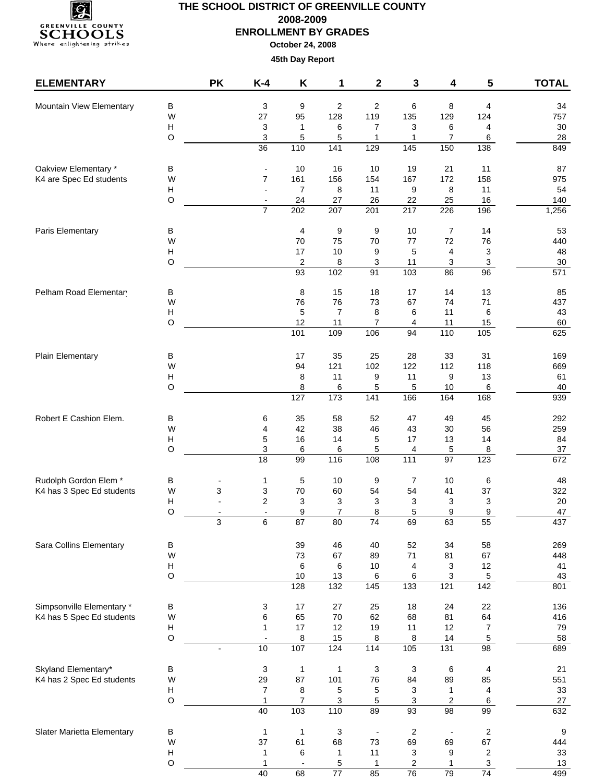

| <b>ELEMENTARY</b>                                |                           | <b>PK</b>      | $K-4$                                      | Κ                        | 1                   | 2                        | 3                       | 4                        | 5                      | <b>TOTAL</b> |
|--------------------------------------------------|---------------------------|----------------|--------------------------------------------|--------------------------|---------------------|--------------------------|-------------------------|--------------------------|------------------------|--------------|
| Mountain View Elementary                         | B                         |                | 3                                          | 9                        | $\overline{2}$      | $\overline{2}$           | 6                       | 8                        | 4                      | 34           |
|                                                  | W                         |                | 27                                         | 95                       | 128                 | 119                      | 135                     | 129                      | 124                    | 757          |
|                                                  | $\boldsymbol{\mathsf{H}}$ |                | 3                                          | 1                        | 6                   | $\overline{7}$           | 3                       | 6                        | 4                      | $30\,$       |
|                                                  | $\circ$                   |                | 3                                          | 5                        | 5                   | 1                        | 1                       | 7                        | 6                      | 28           |
|                                                  |                           |                | 36                                         | 110                      | 141                 | 129                      | 145                     | 150                      | 138                    | 849          |
| Oakview Elementary *                             | в                         |                |                                            | 10                       | 16                  | 10                       | 19                      | 21                       | 11                     | 87           |
| K4 are Spec Ed students                          | W                         |                | $\overline{7}$                             | 161                      | 156                 | 154                      | 167                     | 172                      | 158                    | 975          |
|                                                  | $\boldsymbol{\mathsf{H}}$ |                |                                            | $\overline{7}$           | 8                   | 11                       | 9                       | 8                        | 11                     | 54           |
|                                                  | $\mathsf O$               |                | $\overline{\phantom{a}}$<br>$\overline{7}$ | 24<br>202                | 27<br>207           | 26<br>201                | 22<br>217               | 25<br>226                | 16<br>196              | 140<br>1,256 |
|                                                  |                           |                |                                            |                          |                     |                          |                         |                          |                        |              |
| Paris Elementary                                 | В<br>W                    |                |                                            | 4<br>70                  | 9<br>75             | 9<br>70                  | 10<br>77                | 7<br>72                  | 14<br>76               | 53<br>440    |
|                                                  | Н                         |                |                                            | 17                       | 10                  | 9                        | 5                       | 4                        | 3                      | 48           |
|                                                  | $\circ$                   |                |                                            | $\overline{\mathbf{c}}$  | 8                   | 3                        | 11                      | 3                        | 3                      | $30\,$       |
|                                                  |                           |                |                                            | 93                       | 102                 | $\overline{91}$          | 103                     | 86                       | $\overline{96}$        | 571          |
| Pelham Road Elementar                            | В                         |                |                                            | 8                        | 15                  | 18                       | 17                      | 14                       | 13                     | 85           |
|                                                  | W                         |                |                                            | 76                       | 76                  | 73                       | 67                      | 74                       | 71                     | 437          |
|                                                  | $\boldsymbol{\mathsf{H}}$ |                |                                            | 5                        | $\overline{7}$      | 8                        | 6                       | 11                       | 6                      | 43           |
|                                                  | $\circ$                   |                |                                            | 12                       | 11                  | 7                        | 4                       | 11                       | 15                     | 60           |
|                                                  |                           |                |                                            | 101                      | 109                 | 106                      | 94                      | 110                      | 105                    | 625          |
| Plain Elementary                                 | В                         |                |                                            | 17                       | 35                  | 25                       | 28                      | 33                       | 31                     | 169          |
|                                                  | W                         |                |                                            | 94                       | 121                 | 102                      | 122                     | 112                      | 118                    | 669          |
|                                                  | $\boldsymbol{\mathsf{H}}$ |                |                                            | 8                        | 11                  | 9                        | 11                      | 9                        | 13                     | 61           |
|                                                  | $\circ$                   |                |                                            | 8                        | 6                   | 5                        | 5                       | 10                       | 6                      | 40           |
|                                                  |                           |                |                                            | 127                      | 173                 | 141                      | 166                     | 164                      | 168                    | 939          |
| Robert E Cashion Elem.                           | B                         |                | 6                                          | 35                       | 58                  | 52                       | 47                      | 49                       | 45                     | 292          |
|                                                  | W                         |                | 4                                          | 42                       | 38                  | 46                       | 43                      | 30                       | 56                     | 259          |
|                                                  | H<br>$\circ$              |                | 5<br>$\ensuremath{\mathsf{3}}$             | 16<br>6                  | 14<br>6             | 5<br>5                   | 17<br>4                 | 13<br>5                  | 14<br>8                | 84<br>37     |
|                                                  |                           |                | $\overline{18}$                            | 99                       | 116                 | 108                      | $\frac{111}{11}$        | $\overline{97}$          | 123                    | 672          |
| Rudolph Gordon Elem *                            | В                         |                | 1                                          | 5                        | 10                  | 9                        | 7                       | 10                       | 6                      | 48           |
| K4 has 3 Spec Ed students                        | W                         | 3              | 3                                          | 70                       | 60                  | 54                       | 54                      | 41                       | 37                     | 322          |
|                                                  | H                         |                | $\overline{c}$                             | 3                        | 3                   | 3                        | 3                       | 3                        | 3                      | 20           |
|                                                  | $\circ$                   |                | $\blacksquare$                             | 9                        | $\overline{7}$      | 8                        | 5                       | 9                        | 9                      | 47           |
|                                                  |                           | 3              | 6                                          | 87                       | 80                  | 74                       | 69                      | 63                       | 55                     | 437          |
| Sara Collins Elementary                          | В                         |                |                                            | 39                       | 46                  | 40                       | 52                      | 34                       | 58                     | 269          |
|                                                  | W                         |                |                                            | 73                       | 67                  | 89                       | 71                      | 81                       | 67                     | 448          |
|                                                  | Н                         |                |                                            | 6                        | 6                   | 10                       | 4                       | 3                        | 12                     | 41           |
|                                                  | $\mathsf O$               |                |                                            | 10<br>128                | 13<br>132           | 6<br>$\frac{145}{145}$   | 6<br>133                | 3<br>121                 | $5\phantom{.0}$<br>142 | 43<br>801    |
|                                                  |                           |                |                                            |                          |                     |                          |                         |                          |                        |              |
| Simpsonville Elementary *                        | B                         |                | 3                                          | 17                       | 27                  | 25                       | 18                      | 24                       | 22                     | 136          |
| K4 has 5 Spec Ed students                        | W                         |                | 6                                          | 65                       | 70                  | 62                       | 68                      | 81                       | 64                     | 416          |
|                                                  | Н                         |                | $\mathbf{1}$                               | 17                       | 12                  | 19                       | 11                      | 12                       | $\overline{7}$         | 79           |
|                                                  | $\mathsf O$               | $\blacksquare$ | 10                                         | 8<br>107                 | 15<br>124           | 8<br>$\frac{1}{114}$     | 8<br>105                | 14<br>131                | 5<br>$\overline{98}$   | 58<br>689    |
|                                                  |                           |                |                                            |                          |                     |                          |                         |                          |                        |              |
| Skyland Elementary*<br>K4 has 2 Spec Ed students | В<br>W                    |                | 3<br>29                                    | $\mathbf{1}$<br>87       | $\mathbf{1}$<br>101 | $\mathbf{3}$<br>76       | 3<br>84                 | $\,6$<br>89              | 4<br>85                | 21<br>551    |
|                                                  | Н                         |                | $\overline{7}$                             | 8                        | 5                   | 5                        | 3                       | $\mathbf{1}$             | 4                      | 33           |
|                                                  | $\mathsf O$               |                | $\mathbf{1}$                               | 7                        | 3                   | 5                        | 3                       | $\sqrt{2}$               | 6                      | 27           |
|                                                  |                           |                | 40                                         | 103                      | 110                 | $\overline{89}$          | 93                      | 98                       | 99                     | 632          |
| Slater Marietta Elementary                       | B                         |                | $\mathbf{1}$                               | $\mathbf{1}$             | $\sqrt{3}$          | $\overline{\phantom{a}}$ | $\overline{\mathbf{c}}$ | $\overline{\phantom{a}}$ | $\overline{c}$         | 9            |
|                                                  | W                         |                | 37                                         | 61                       | 68                  | 73                       | 69                      | 69                       | 67                     | 444          |
|                                                  | $\boldsymbol{\mathsf{H}}$ |                | 1                                          | 6                        | 1                   | 11                       | 3                       | 9                        | $\overline{c}$         | 33           |
|                                                  | $\circ$                   |                | $\mathbf{1}$                               | $\overline{\phantom{a}}$ | 5                   | 1                        | $\overline{c}$          | 1                        | $\mathbf{3}$           | 13           |
|                                                  |                           |                | 40                                         | 68                       | $\overline{77}$     | 85                       | 76                      | 79                       | 74                     | 499          |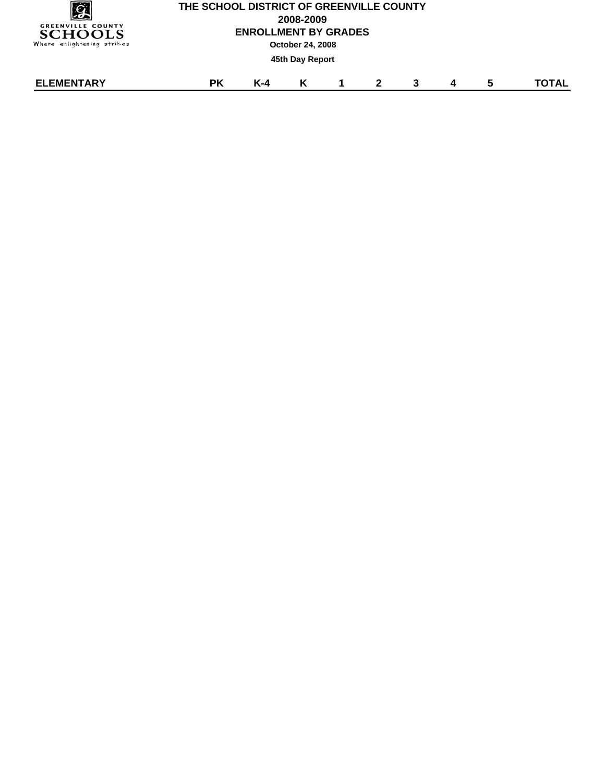|                                            | <b>THE SCHO</b> |
|--------------------------------------------|-----------------|
| <b>GREENVILLE COUNTY</b><br><b>SCHOOLS</b> |                 |
| Where enlightening strikes                 |                 |

# **OL DISTRICT OF GREENVILLE COUNTY 2008-2009 ENROLLMENT BY GRADES October 24, 2008 45th Day Report**

| <b>ELEMENTARY</b> | --<br>оv | v<br>. . л |  |  |  | ----- |
|-------------------|----------|------------|--|--|--|-------|
|                   |          |            |  |  |  |       |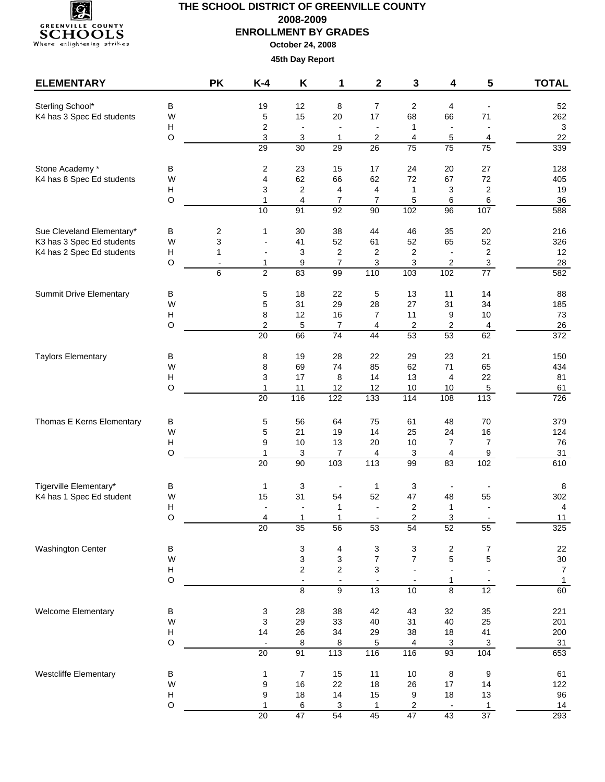

| <b>ELEMENTARY</b>                            |                           | <b>PK</b>                     | $K-4$                           | Κ                                                   | 1                                          | $\mathbf 2$               | 3                        | 4                        | 5                                            | <b>TOTAL</b>                   |
|----------------------------------------------|---------------------------|-------------------------------|---------------------------------|-----------------------------------------------------|--------------------------------------------|---------------------------|--------------------------|--------------------------|----------------------------------------------|--------------------------------|
| Sterling School*                             | В                         |                               | 19                              | 12                                                  | 8                                          | $\overline{7}$            | 2                        | 4                        |                                              | 52                             |
| K4 has 3 Spec Ed students                    | W                         |                               | 5                               | 15                                                  | 20                                         | 17                        | 68                       | 66                       | 71                                           | 262                            |
|                                              | Н<br>O                    |                               | 2                               | $\overline{\phantom{a}}$                            | $\overline{\phantom{a}}$                   | $\overline{\phantom{a}}$  | $\mathbf{1}$             | $\overline{\phantom{a}}$ | $\blacksquare$                               | $\mathbf{3}$<br>22             |
|                                              |                           |                               | 3<br>29                         | 3<br>30                                             | 1<br>$\overline{29}$                       | 2<br>$\overline{26}$      | 4<br>$\overline{75}$     | 5<br>75                  | 4<br>$\overline{75}$                         | 339                            |
|                                              |                           |                               |                                 |                                                     |                                            |                           |                          |                          |                                              |                                |
| Stone Academy *<br>K4 has 8 Spec Ed students | в<br>W                    |                               | $\overline{\mathbf{c}}$<br>4    | 23<br>62                                            | 15<br>66                                   | 17<br>62                  | 24<br>72                 | 20<br>67                 | 27<br>72                                     | 128<br>405                     |
|                                              | $\boldsymbol{\mathsf{H}}$ |                               | 3                               | 2                                                   | 4                                          | 4                         | $\mathbf{1}$             | 3                        | $\sqrt{2}$                                   | 19                             |
|                                              | O                         |                               | $\mathbf{1}$                    | 4                                                   | $\overline{7}$                             | $\overline{7}$            | 5                        | 6                        | $\,6\,$                                      | 36                             |
|                                              |                           |                               | 10                              | 91                                                  | 92                                         | 90                        | 102                      | 96                       | 107                                          | 588                            |
| Sue Cleveland Elementary*                    | В                         | 2                             | 1                               | 30                                                  | 38                                         | 44                        | 46                       | 35                       | 20                                           | 216                            |
| K3 has 3 Spec Ed students                    | W                         | 3                             |                                 | 41                                                  | 52                                         | 61                        | 52                       | 65                       | 52                                           | 326                            |
| K4 has 2 Spec Ed students                    | н                         | 1                             | $\overline{\phantom{a}}$        | 3                                                   | $\overline{\mathbf{c}}$                    | 2                         | $\overline{\mathbf{c}}$  | $\overline{\phantom{a}}$ | $\sqrt{2}$                                   | 12                             |
|                                              | O                         | $\overline{\phantom{a}}$<br>6 | 1<br>$\overline{2}$             | 9<br>83                                             | $\overline{7}$<br>99                       | 3<br>110                  | 3<br>103                 | $\sqrt{2}$<br>102        | $\ensuremath{\mathsf{3}}$<br>$\overline{77}$ | 28<br>582                      |
|                                              |                           |                               |                                 |                                                     |                                            |                           |                          |                          |                                              |                                |
| <b>Summit Drive Elementary</b>               | В                         |                               | $\mathbf 5$                     | 18                                                  | 22                                         | 5                         | 13                       | 11                       | 14                                           | 88                             |
|                                              | W<br>H                    |                               | 5<br>8                          | 31<br>12                                            | 29<br>16                                   | 28<br>$\overline{7}$      | 27<br>11                 | 31<br>9                  | 34<br>10                                     | 185<br>73                      |
|                                              | O                         |                               | $\overline{2}$                  | 5                                                   | $\overline{7}$                             | 4                         | $\overline{c}$           | $\boldsymbol{2}$         | $\overline{4}$                               | 26                             |
|                                              |                           |                               | 20                              | 66                                                  | $\overline{74}$                            | 44                        | 53                       | 53                       | 62                                           | 372                            |
| <b>Taylors Elementary</b>                    | В                         |                               | 8                               | 19                                                  | 28                                         | 22                        | 29                       | 23                       | 21                                           | 150                            |
|                                              | W                         |                               | 8                               | 69                                                  | 74                                         | 85                        | 62                       | $71$                     | 65                                           | 434                            |
|                                              | Н                         |                               | 3                               | 17                                                  | 8                                          | 14                        | 13                       | 4                        | 22                                           | 81                             |
|                                              | O                         |                               | $\mathbf{1}$<br>20              | 11<br>116                                           | 12<br>122                                  | 12<br>$\frac{1}{133}$     | 10<br>$\frac{114}{114}$  | 10<br>108                | $\overline{5}$<br>113                        | 61<br>726                      |
| Thomas E Kerns Elementary                    | В                         |                               | 5                               | 56                                                  | 64                                         | 75                        | 61                       | 48                       | $70\,$                                       | 379                            |
|                                              | W                         |                               | 5                               | 21                                                  | 19                                         | 14                        | 25                       | 24                       | 16                                           | 124                            |
|                                              | н                         |                               | 9                               | 10                                                  | 13                                         | 20                        | $10$                     | $\overline{7}$           | $\boldsymbol{7}$                             | 76                             |
|                                              | O                         |                               | 1<br>20                         | 3<br>90                                             | 7<br>103                                   | 4<br>$\frac{1}{13}$       | 3<br>99                  | 4<br>83                  | 9<br>102                                     | 31<br>610                      |
|                                              |                           |                               |                                 |                                                     |                                            |                           |                          |                          |                                              |                                |
| Tigerville Elementary*                       | в                         |                               | 1                               | 3                                                   |                                            | $\mathbf{1}$              | 3                        | $\overline{\phantom{a}}$ |                                              | 8                              |
| K4 has 1 Spec Ed student                     | W<br>н                    |                               | 15                              | 31<br>$\overline{\phantom{a}}$                      | 54<br>1                                    | 52<br>$\blacksquare$      | 47<br>2                  | 48<br>1                  | 55<br>$\overline{a}$                         | 302<br>$\overline{4}$          |
|                                              | $\Omega$                  |                               | 4                               | 1                                                   | 1                                          |                           | $\overline{2}$           | 3                        |                                              | 11                             |
|                                              |                           |                               | 20                              | $\overline{35}$                                     | 56                                         | 53                        | 54                       | 52                       | 55                                           | 325                            |
| Washington Center                            | B                         |                               |                                 | 3                                                   | 4                                          | $\ensuremath{\mathsf{3}}$ | 3                        | $\overline{\mathbf{c}}$  | 7                                            | 22                             |
|                                              | W                         |                               |                                 | 3                                                   | 3                                          | $\overline{7}$            | $\overline{7}$           | 5                        | 5                                            | 30                             |
|                                              | н<br>$\mathsf O$          |                               |                                 | $\overline{\mathbf{c}}$<br>$\overline{\phantom{a}}$ | $\overline{c}$<br>$\overline{\phantom{a}}$ | 3                         | $\overline{\phantom{a}}$ | $\overline{a}$<br>1      |                                              | $\overline{7}$<br>$\mathbf{1}$ |
|                                              |                           |                               |                                 | $\overline{8}$                                      | 9                                          | $\overline{13}$           | 10                       | $\overline{8}$           | 12                                           | 60                             |
| Welcome Elementary                           | В                         |                               | 3                               | 28                                                  | 38                                         | 42                        | 43                       | 32                       | 35                                           | 221                            |
|                                              | W                         |                               | 3                               | 29                                                  | 33                                         | 40                        | 31                       | 40                       | 25                                           | 201                            |
|                                              | Н<br>$\mathsf O$          |                               | 14<br>$\overline{\phantom{a}}$  | 26<br>8                                             | 34<br>8                                    | 29<br>5                   | 38<br>4                  | 18<br>$\overline{3}$     | 41<br>$\overline{3}$                         | 200                            |
|                                              |                           |                               | $\overline{20}$                 | 91                                                  | 113                                        | 116                       | 116                      | 93                       | 104                                          | $\frac{31}{653}$               |
| Westcliffe Elementary                        | B                         |                               | $\mathbf{1}$                    | $\boldsymbol{7}$                                    | 15                                         | 11                        | $10$                     | 8                        | 9                                            | 61                             |
|                                              | W                         |                               | $\boldsymbol{9}$                | 16                                                  | 22                                         | 18                        | 26                       | $17$                     | 14                                           | 122                            |
|                                              | н                         |                               | 9                               | 18                                                  | 14                                         | 15                        | 9                        | 18                       | 13                                           | 96                             |
|                                              | $\mathsf O$               |                               | $\mathbf{1}$<br>$\overline{20}$ | 6<br>47                                             | 3<br>$\overline{54}$                       | $\mathbf{1}$<br>45        | 2<br>47                  | 43                       | $\mathbf{1}$<br>37                           | 14<br>293                      |
|                                              |                           |                               |                                 |                                                     |                                            |                           |                          |                          |                                              |                                |